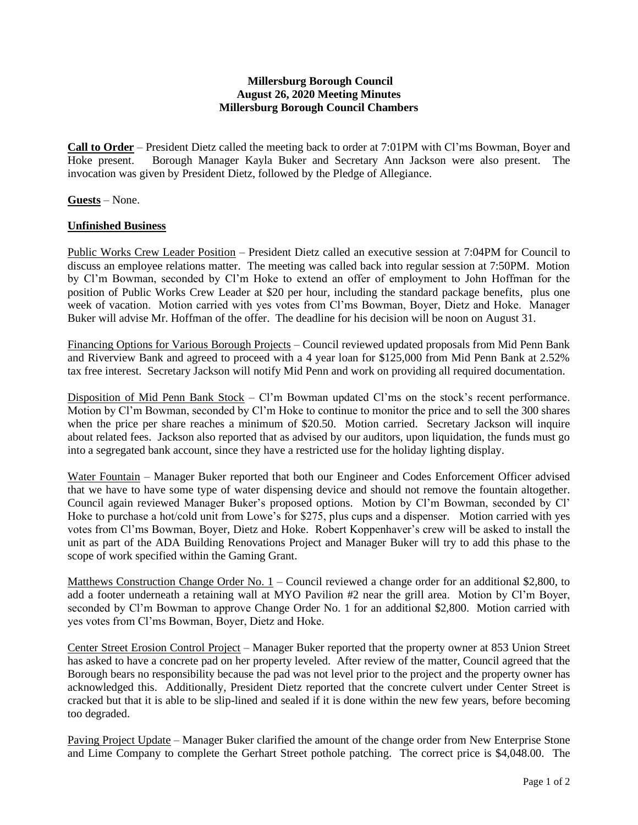## **Millersburg Borough Council August 26, 2020 Meeting Minutes Millersburg Borough Council Chambers**

**Call to Order** – President Dietz called the meeting back to order at 7:01PM with Cl'ms Bowman, Boyer and Hoke present. Borough Manager Kayla Buker and Secretary Ann Jackson were also present. The invocation was given by President Dietz, followed by the Pledge of Allegiance.

**Guests** – None.

## **Unfinished Business**

Public Works Crew Leader Position – President Dietz called an executive session at 7:04PM for Council to discuss an employee relations matter. The meeting was called back into regular session at 7:50PM. Motion by Cl'm Bowman, seconded by Cl'm Hoke to extend an offer of employment to John Hoffman for the position of Public Works Crew Leader at \$20 per hour, including the standard package benefits, plus one week of vacation. Motion carried with yes votes from Cl'ms Bowman, Boyer, Dietz and Hoke. Manager Buker will advise Mr. Hoffman of the offer. The deadline for his decision will be noon on August 31.

Financing Options for Various Borough Projects – Council reviewed updated proposals from Mid Penn Bank and Riverview Bank and agreed to proceed with a 4 year loan for \$125,000 from Mid Penn Bank at 2.52% tax free interest. Secretary Jackson will notify Mid Penn and work on providing all required documentation.

Disposition of Mid Penn Bank Stock – Cl'm Bowman updated Cl'ms on the stock's recent performance. Motion by Cl'm Bowman, seconded by Cl'm Hoke to continue to monitor the price and to sell the 300 shares when the price per share reaches a minimum of \$20.50. Motion carried. Secretary Jackson will inquire about related fees. Jackson also reported that as advised by our auditors, upon liquidation, the funds must go into a segregated bank account, since they have a restricted use for the holiday lighting display.

Water Fountain – Manager Buker reported that both our Engineer and Codes Enforcement Officer advised that we have to have some type of water dispensing device and should not remove the fountain altogether. Council again reviewed Manager Buker's proposed options. Motion by Cl'm Bowman, seconded by Cl' Hoke to purchase a hot/cold unit from Lowe's for \$275, plus cups and a dispenser. Motion carried with yes votes from Cl'ms Bowman, Boyer, Dietz and Hoke. Robert Koppenhaver's crew will be asked to install the unit as part of the ADA Building Renovations Project and Manager Buker will try to add this phase to the scope of work specified within the Gaming Grant.

Matthews Construction Change Order No. 1 – Council reviewed a change order for an additional \$2,800, to add a footer underneath a retaining wall at MYO Pavilion #2 near the grill area. Motion by Cl'm Boyer, seconded by Cl'm Bowman to approve Change Order No. 1 for an additional \$2,800. Motion carried with yes votes from Cl'ms Bowman, Boyer, Dietz and Hoke.

Center Street Erosion Control Project – Manager Buker reported that the property owner at 853 Union Street has asked to have a concrete pad on her property leveled. After review of the matter, Council agreed that the Borough bears no responsibility because the pad was not level prior to the project and the property owner has acknowledged this. Additionally, President Dietz reported that the concrete culvert under Center Street is cracked but that it is able to be slip-lined and sealed if it is done within the new few years, before becoming too degraded.

Paving Project Update – Manager Buker clarified the amount of the change order from New Enterprise Stone and Lime Company to complete the Gerhart Street pothole patching. The correct price is \$4,048.00. The